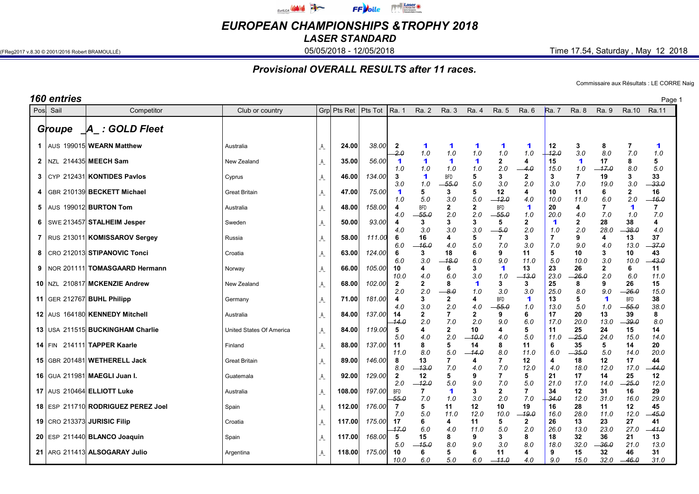

EUROPEAN CHAMPIONSHIPS &TROPHY 2018

LASER STANDARD

(FReg2017 v.8.30 © 2001/2016 Robert BRAMOULLÉ) **05/05/2018 - 05/05/2018 - 12/05/2018** Time 17.54, Saturday , May 12 2018

## Provisional OVERALL RESULTS after 11 races.

Commissaire aux Résultats : LE CORRE Naig

| 160 entries |                                                                    |                          |                        |                       |                  |                          |                          |                     |                     |                                  |                         |                             |                    |                             |                       | Page 1                      |
|-------------|--------------------------------------------------------------------|--------------------------|------------------------|-----------------------|------------------|--------------------------|--------------------------|---------------------|---------------------|----------------------------------|-------------------------|-----------------------------|--------------------|-----------------------------|-----------------------|-----------------------------|
| Pos Sail    | Competitor                                                         | Club or country          |                        | Grp Pts Ret   Pts Tot |                  | Ra. 1                    | Ra. 2                    | <b>Ra. 3</b>        | Ra. 4               | Ra. 5                            | Ra. 6                   | <b>Ra.</b> 7                | Ra. 8              | Ra. 9                       |                       | Ra.10 Ra.11                 |
| Groupe      | $\mathcal{A}$ : GOLD Fleet                                         |                          |                        |                       |                  |                          |                          |                     |                     |                                  |                         |                             |                    |                             |                       |                             |
|             | 1   AUS 199015 WEARN Matthew                                       | Australia                | $\mathsf{A}\mathsf{A}$ | 24.00                 | 38.00            | $\mathbf{2}$<br>$-2.0$   | 1<br>1.0                 | 1<br>1.0            | 1<br>1.0            | 1<br>1.0                         | 1<br>1.0                | 12<br>12.0                  | 3<br>3.0           | 8<br>8.0                    | -7<br>7.0             | $\blacktriangleleft$<br>1.0 |
|             | 2   NZL 214435 MEECH Sam                                           | New Zealand              |                        | 35.00                 | 56.00            | $\mathbf 1$<br>1.0       | 1<br>1.0                 | 1<br>1.0            | 1<br>1.0            | 2<br>2.0                         | 4<br>-- 4.0             | 15<br>15.0                  | 1<br>1.0           | 17<br>–17.0                 | 8<br>8.0              | 5<br>5.0                    |
|             | 3   CYP 212431 KONTIDES Pavlos                                     | Cyprus                   | _A_                    | 46.00                 | 134.00           | 3<br>3.0                 | 1<br>1.0                 | <b>BFD</b><br>-55.0 | 5<br>5.0            | 3<br>3.0                         | $\mathbf{2}$<br>2.0     | 3<br>3.0                    | 7<br>7.0           | 19<br>19.0                  | 3<br>3.0              | 33<br>-33.0                 |
|             | 4   GBR 210139 BECKETT Michael                                     | Great Britain            | _A_                    | 47.00                 | 75.00            | -1<br>1.0                | 5<br>5.0                 | 3<br>3.0            | 5<br>5.0            | 12<br>$-12.0$                    | 4<br>4.0                | 10<br>10.0                  | 11<br>11.0         | 6<br>6.0                    | 2<br>2.0              | 16<br>$-16.0$               |
|             | $5$ AUS 199012 BURTON Tom                                          | Australia                |                        | 48.00                 | 158.00           | 4<br>4.0                 | <b>BFD</b><br>-55.0      | 2<br>2.0            | $\mathbf{2}$<br>2.0 | <b>BFD</b><br>-55.0              | 1<br>1.0                | 20<br>20.0                  | 4<br>4.0           | 7.0                         | 1<br>1.0              | 7<br>7.0                    |
|             | 6   SWE 213457 STALHEIM Jesper                                     | Sweden                   | Α                      | 50.00                 | 93.00            | 4<br>4.0                 | 3<br>3.0                 | 3<br>3.0            | 3<br>3.0            | 5<br>-5.0                        | $\mathbf{2}$<br>2.0     | $\blacktriangleleft$<br>1.0 | 2<br>2.0           | 28<br>28.0                  | 38<br>-38.0           | 4<br>4.0                    |
|             | 7   RUS 213011 KOMISSAROV Sergey                                   | Russia                   | $\mathsf{A}\mathsf{A}$ | 58.00                 | 111.00           | 6<br>6.0                 | 16<br>-- 16.0            | 4<br>4.0            | 5<br>5.0            | $\overline{7}$<br>7.0            | 3<br>3.0                | 7.0                         | 9<br>9.0           | 4<br>4.0                    | 13<br>13.0            | 37<br>$-37.0$               |
|             | 8   CRO 212013 STIPANOVIC Tonci                                    | Croatia                  |                        | 63.00                 | 124.00           | 6<br>6.0                 | 3<br>3.0                 | 18<br>-18.0         | 6<br>6.0            | 9<br>9.0                         | 11<br>11.0              | 5<br>5.0                    | 10<br>10.0         | 3<br>3.0                    | 10<br>10.0            | 43<br>$-43.0$               |
|             | 9   NOR 201111 TOMASGAARD Hermann<br>10 NZL 210817 MCKENZIE Andrew | Norway                   | Ą                      | 66.00                 | 105.00<br>102.00 | 10<br>10.0               | 4<br>4.0<br>$\mathbf{2}$ | 6<br>6.0<br>8       | 3<br>3.0<br>1       | $\blacktriangleleft$<br>1.0<br>3 | 13<br>-13.0<br>3        | 23<br>23.0<br>25            | 26<br>-26.0<br>8   | $\mathbf{2}$<br>2.0<br>9    | 6<br>6.0<br>26        | 11<br>11.0<br>15            |
|             | 11   GER 212767 BUHL Philipp                                       | New Zealand              | $\mathsf{A}\,$         | 68.00<br>71.00        | 181.00           | $\mathbf{2}$<br>2.0<br>4 | 2.0<br>3                 | -8.0<br>2           | 1.0<br>4            | 3.0<br><b>BFD</b>                | 3.0<br>1                | 25.0<br>13                  | 8.0<br>5           | 9.0<br>$\blacktriangleleft$ | -- 26.0<br><b>BFD</b> | 15.0<br>38                  |
|             | 12 AUS 164180 KENNEDY Mitchell                                     | Germany<br>Australia     | Ą<br>Ą                 | 84.00                 | 137.00           | 4.0<br>14                | 3.0<br>2                 | 2.0                 | 4.0<br>2            | $-55.0$<br>9                     | 1.0<br>6                | 13.0<br>17                  | 5.0<br>20          | 1.0<br>13                   | - 55.0<br>39          | 38.0<br>8                   |
|             | 13 USA 211515 BUCKINGHAM Charlie                                   | United States Of America | A                      | 84.00                 | 119.00           | 14.0<br>-5               | 2.0<br>4                 | 7.0<br>2            | 2.0<br>10           | 9.0<br>4                         | 6.0<br>5                | 17.0<br>11                  | 20.0<br>25         | 13.0<br>24                  | - 39.0<br>15          | 8.0<br>14                   |
|             | 14 $\text{FIN}$ 214111 TAPPER Kaarle                               | Finland                  | _A_                    | 88.00                 | 137.00           | 5.0<br>11                | 4.0<br>8                 | 2.0<br>5            | -10.0<br>14         | 4.0<br>8                         | 5.0<br>11               | 11.0<br>6                   | $-25.0$<br>35      | 24.0<br>5                   | 15.0<br>14            | 14.0<br>20                  |
|             | 15 GBR 201481 WETHERELL Jack                                       | <b>Great Britain</b>     | $\mathsf{A}\mathsf{A}$ | 89.00                 | 146.00           | 11.0<br>8                | 8.0<br>13                | 5.0<br>7            | -14.0<br>4          | 8.0<br>7                         | 11.0<br>12              | 6.0<br>4                    | $-35.0$<br>18      | 5.0<br>12                   | 14.0<br>17            | 20.0<br>44                  |
|             | 16 GUA 211981 MAEGLI Juan I.                                       | Guatemala                | _A_                    | 92.00                 | 129.00           | 8.0<br>$\overline{2}$    | $-13.0$<br>12            | 7.0<br>5            | 4.0<br>9            | 7.0<br>7                         | 12.0<br>5               | 4.0<br>21                   | 18.0<br>17         | 12.0<br>14                  | 17.0<br>25            | 44.0<br>12                  |
|             | 17   AUS 210464 ELLIOTT Luke                                       | Australia                |                        | 108.00                | 197.00           | 2.0<br><b>BFD</b>        | $-12.0$                  | 5.0<br>1            | 9.0<br>3            | 7.0<br>$\overline{2}$            | 5.0<br>7                | 21.0<br>34                  | 17.0<br>12         | 14.0<br>31                  | $-25.0$<br>16         | 12.0<br>29                  |
|             | 18 ESP 211710 RODRIGUEZ PEREZ Joel                                 | Spain                    |                        | 112.00                | 176.00           | $-55.0$<br>-7            | 7.0<br>5                 | 1.0<br>11           | 3.0<br>12           | 2.0<br>10                        | 7.0<br>19               | 34.0<br>16                  | 12.0<br>28         | 31.0<br>11                  | 16.0<br>12            | 29.0<br>45                  |
|             | 19   CRO 213373 JURISIC Filip                                      | Croatia                  | _A_                    | 117.00                | 175.00           | 7.0<br>17                | 5.0<br>6                 | 11.0<br>4           | 12.0<br>11          | 10.0<br>5                        | -- 19.0<br>$\mathbf{2}$ | 16.0<br>26                  | 28.0<br>13         | 11.0<br>23                  | 12.0<br>27            | 45.0<br>41                  |
|             | 20 ESP 211440 BLANCO Joaquin                                       | Spain                    | _A                     | 117.00                | 168.00           | -17.0<br>- 5             | 6.0<br>15                | 4.0<br>8            | 11.0<br>9           | 5.0<br>3                         | 2.0<br>8                | 26.0<br>18                  | 13.0<br>32         | 23.0<br>36                  | 27.0<br>21            | -- 41.0<br>13               |
|             | 21 ARG 211413 ALSOGARAY Julio                                      | Argentina                |                        | 118.00                | 175.00           | 5.0<br>10<br>10.0        | -15.0<br>6<br>6.0        | 8.0<br>5<br>5.0     | 9.0<br>6<br>6.0     | 3.0<br>11<br>–11.0               | 8.0<br>4<br>4.0         | 18.0<br>9<br>9.0            | 32.0<br>15<br>15.0 | -36.0<br>32<br>32.0         | 21.0<br>46<br>$-46.0$ | 13.0<br>31<br>31.0          |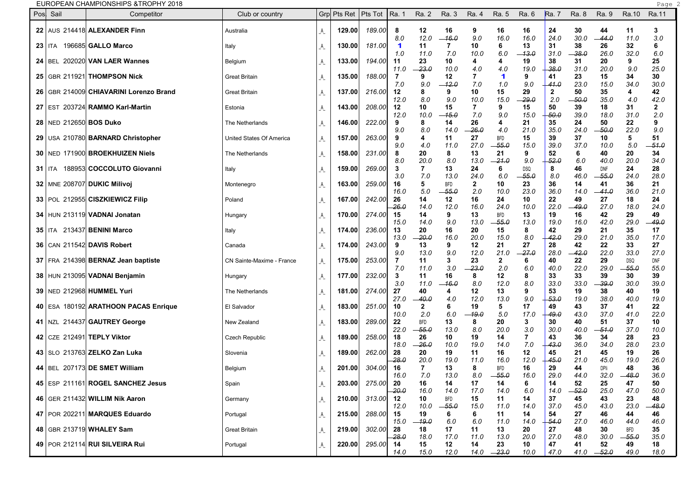| EUROPEAN CHAMPIONSHIPS & TROPHY 2018 | Page |  |
|--------------------------------------|------|--|
|                                      |      |  |

| Pos | Sail                     | Competitor                               | Club or country           |         | $Grp$ Pts Ret   Pts Tot |           | Ra. 1                       | Ra. 2                 | Ra. 3                 | Ra. 4                 | Ra. 5                 | Ra. 6         | Ra. 7        | Ra. 8       | Ra. 9         | Ra.10                 | Ra.11               |  |
|-----|--------------------------|------------------------------------------|---------------------------|---------|-------------------------|-----------|-----------------------------|-----------------------|-----------------------|-----------------------|-----------------------|---------------|--------------|-------------|---------------|-----------------------|---------------------|--|
|     |                          | 22 AUS 214418 ALEXANDER Finn             | Australia                 | _A_     | 129.00                  | 189.00    | 8                           | 12                    | 16                    | 9                     | 16                    | 16            | 24           | 30          | 44            | 11                    | 3                   |  |
|     |                          |                                          |                           |         |                         |           | 8.0                         | 12.0                  | 16.0                  | 9.0                   | 16.0                  | 16.0          | 24.0         | 30.0        | -44.0         | 11.0                  | 3.0                 |  |
|     | <b>23   ITA</b>          | 196685 GALLO Marco                       | Italy                     | _A_     | 130.00                  | 181.00    | $\blacktriangleleft$<br>1.0 | 11<br>11.0            | 7<br>7.0              | 10<br>10.0            | 6<br>6.0              | 13<br>$-13.0$ | 31<br>31.0   | 38<br>-38.0 | 26<br>26.0    | 32<br>32.0            | 6<br>6.0            |  |
|     |                          | 24   BEL 202020 VAN LAER Wannes          | Belgium                   | A_      | 133.00                  | 194.00    | 11                          | 23                    | 10                    | 4                     | 4                     | 19            | 38           | 31          | 20            | 9                     | 25                  |  |
|     |                          |                                          |                           |         |                         |           | 11.0                        | $-23.0$               | 10.0                  | 4.0                   | 4.0                   | 19.0          | $-38.0$      | 31.0        | 20.0          | 9.0                   | 25.0                |  |
|     |                          | 25   GBR 211921   THOMPSON Nick          | <b>Great Britain</b>      | A.      | 135.00                  | 188.00    | 7<br>7.0                    | 9<br>9.0              | 12<br>12.0            | 7<br>7.0              | -1<br>1.0             | 9<br>9.0      | 41<br>-41.0  | 23<br>23.0  | 15<br>15.0    | 34<br>34.0            | 30<br>30.0          |  |
|     |                          | 26   GBR 214009 CHIAVARINI Lorenzo Brand | <b>Great Britain</b>      | A_      | 137.00                  | 216.00    | 12                          | 8                     | 9                     | 10                    | 15                    | 29            | $\mathbf{2}$ | 50          | 35            | 4                     | 42                  |  |
|     |                          |                                          |                           |         |                         |           | 12.0                        | 8.0                   | 9.0                   | 10.0                  | 15.0                  | -29.0         | 2.0          | $-50.0$     | 35.O          | 4.0                   | 42.0                |  |
|     |                          | 27 EST 203724 RAMMO Karl-Martin          | Estonia                   | A.      | 143.00                  | 208.00    | 12<br>12.0                  | 10<br>10.0            | 15<br>-15.0           | $\overline{7}$<br>7.0 | 9<br>9.0              | 15<br>15.0    | 50<br>50.0   | 39<br>39.0  | 18<br>18.0    | 31<br>31.0            | $\mathbf{2}$<br>2.0 |  |
|     | 28   NED 212650 BOS Duko |                                          | The Netherlands           | A_      | 146.00                  | 222.00    | 9                           | 8                     | 14                    | 26                    | 4                     | 21            | 35           | 24          | 50            | 22                    | 9                   |  |
|     |                          |                                          |                           |         | 157.00                  | 263.00    | 9.0<br>9                    | 8.0<br>4              | 14.0<br>11            | -26.0<br>27           | 4.0<br><b>BFD</b>     | 21.0<br>15    | 35.0<br>39   | 24.0<br>37  | -50.0<br>10   | 22.0<br>5             | 9.0<br>51           |  |
|     |                          | 29 USA 210780 BARNARD Christopher        | United States Of America  | A_      |                         |           | 9.0                         | 4.0                   | 11.0                  | 27.0                  | 55.0                  | 15.0          | 39.0         | 37.0        | 10.0          | $5.0$                 | -51.0               |  |
|     |                          | 30   NED 171900 BROEKHUIZEN Niels        | The Netherlands           | A_      | 158.00                  | 231.00    | 8                           | 20                    | 8                     | 13                    | 21                    | 9             | 52           | 6           | 40            | 20                    | 34                  |  |
|     |                          | 31   ITA 188953 COCCOLUTO Giovanni       |                           |         | 159.00                  | 269.00    | 8.0<br>3                    | 20.0<br>7             | 8.0<br>13             | 13.0<br>24            | -21.0<br>6            | 9.0<br>DSQ    | 52.0<br>8    | 6.0<br>46   | 40.0<br>DNF   | 20.0<br>24            | 34.0<br>28          |  |
|     |                          |                                          | Italy                     | A_      |                         |           | 3.0                         | 7.0                   | 13.0                  | 24.0                  | 6.0                   | $-55.0$       | 8.0          | 46.0        | -55.0         | 24.0                  | 28.0                |  |
|     |                          | 32   MNE 208707 DUKIC Milivoj            | Montenegro                | A_      | 163.00                  | 259.00    | 16                          | 5                     | <b>BFD</b>            | $\mathbf{2}$          | 10                    | 23            | 36           | 14          | 41            | 36                    | 21                  |  |
|     |                          | 33 POL 212955 CISZKIEWICZ Filip          | Poland                    |         | 167.00                  | 242.00    | 16.0<br>26                  | 5.0<br>14             | $-55.0$<br>12         | 2.0<br>16             | 10.0<br>24            | 23.0<br>10    | 36.0<br>22   | 14.0<br>49  | $-41.0$<br>27 | 36.0<br>18            | 21.0<br>24          |  |
|     |                          |                                          |                           | _A_     |                         |           | 26.G                        | 14.0                  | 12.0                  | 16.0                  | 24.0                  | 10.0          | 22.0         | -49.0       | 27.0          | 18.0                  | 24.0                |  |
|     |                          | 34 HUN 213119 VADNAI Jonatan             | Hungary                   | _A_     | 170.00                  | 274.00    | 15                          | 14                    | 9                     | 13                    | <b>BFD</b>            | 13            | 19           | 16          | 42            | 29                    | 49                  |  |
|     |                          | 35   ITA 213437 BENINI Marco             | Italy                     |         | 174.00                  | 236.00    | 15.0<br>13                  | 14.0<br>20            | 9.0<br>16             | 13.0<br>20            | $-55.0$<br>15         | 13.0<br>8     | 19.0<br>42   | 16.0<br>29  | 42.0<br>21    | 29.0<br>35            | 49.0<br>17          |  |
|     |                          |                                          |                           | _A_     |                         |           | 13.0                        | $-20.0$               | 16.0                  | 20.0                  | 15.0                  | 8.0           | 42.0         | 29.0        | 21.0          | 35.0                  | 17.0                |  |
|     |                          | 36 CAN 211542 DAVIS Robert               | Canada                    | _A_     | 174.00                  | 243.00    | 9                           | 13                    | 9                     | 12                    | 21                    | 27            | 28           | 42          | 22            | 33                    | 27                  |  |
|     |                          | 37   FRA 214398 BERNAZ Jean baptiste     | CN Sainte-Maxime - France |         | 175.00                  | 253.00    | 9.0<br>7                    | 13.0<br>11            | 9.0<br>3              | 12.0<br>23            | 21.0<br>$\mathbf{2}$  | $-27.0$<br>6  | 28.0<br>40   | -42.0<br>22 | 22.0<br>29    | 33.0<br>DSQ           | 27.0<br><b>DNF</b>  |  |
|     |                          |                                          |                           | _A_     |                         |           | 7.0                         | 11.0                  | 3.0                   | $-23.0$               | 2.0                   | 6.0           | 40.0         | 22.0        | 29.0          | -55.0                 | 55.0                |  |
|     |                          | 38 HUN 213095 VADNAI Benjamin            | Hungary                   | A_      | 177.00                  | 232.00    | 3                           | 11                    | 16                    | 8                     | 12                    | 8             | 33           | 33          | 39            | 30                    | 39                  |  |
|     |                          | 39   NED 212968 HUMMEL Yuri              | The Netherlands           | A_      | 181.00                  | 274.00    | 3.0<br>27                   | 11.0<br>40            | -16.0<br>4            | 8.0<br>12             | 12.0<br>13            | 8.0<br>9      | 33.0<br>53   | 33.0<br>19  | -39.0<br>38   | 30.0<br>40            | 39.0<br>19          |  |
|     |                          |                                          |                           |         |                         |           | 27.0                        | -40.0                 | 4.0                   | 12.0                  | 13.0                  | 9.0           | -53.0        | 19.0        | 38.0          | 40.0                  | 19.0                |  |
|     |                          | 40 ESA 180192 ARATHOON PACAS Enrique     | El Salvador               | A_      | 183.00                  | 251.00    | 10                          | 2                     | 6                     | 19                    | 5                     | 17            | 49           | 43          | 37            | 41                    | 22                  |  |
|     |                          | 41   NZL 214437   GAUTREY George         | New Zealand               | A_      | 183.00                  | 289.00    | 10.0<br>22                  | 2.0<br><b>BFD</b>     | 6.0<br>13             | 19.0<br>8             | 5.0<br>20             | 17.0<br>3     | 49.0<br>30   | 43.0<br>40  | 37.0<br>51    | 41.0<br>37            | 22.0<br>10          |  |
|     |                          |                                          |                           |         |                         |           | 22.0                        | - 55.0                | 13.0                  | 8.0                   | 20.0                  | 3.0           | 30.0         | 40.0        | 51.0          | 37.0                  | 10.0                |  |
|     |                          | 42 CZE 212491 TEPLY Viktor               | Czech Republic            | A_      | 189.00                  | 258.00    | 18                          | 26                    | 10                    | 19<br>19.0            | 14                    | 7<br>7.0      | 43<br>43.0   | 36<br>36.0  | 34            | 28<br>28.0            | 23                  |  |
|     |                          | 43   SLO 213763 ZELKO Zan Luka           | Slovenia                  | _A_     | 189.00                  | 262.00    | 18.0<br>28                  | -26.0<br>20           | 10.0<br>19            | 11                    | 14.0<br>16            | 12            | 45           | 21          | 34.0<br>45    | 19                    | 23.0<br>26          |  |
|     |                          |                                          |                           |         |                         |           | 28.0                        | 20.0                  | 19.0                  | 11.0                  | 16.0                  | 12.0          | 45.0         | 21.0        | 45.0          | 19.0                  | 26.0                |  |
|     |                          | 44 BEL 207173 DE SMET William            | Belgium                   | A_      | 201.00                  | 304.00    | 16<br>16.0                  | $\overline{7}$<br>7.0 | 13<br>13.0            | 8<br>8.0              | <b>BFD</b><br>$-55.0$ | 16<br>16.0    | 29<br>29.0   | 44<br>44.0  | DPli<br>32.0  | 48<br>$-48.0$         | 36<br>36.0          |  |
|     |                          | 45 ESP 211161 ROGEL SANCHEZ Jesus        | Spain                     | $A_{-}$ | 203.00                  | 275.00 20 |                             | 16                    | 14                    | 17                    | 14                    | 6             | 14           | 52          | 25            | 47                    | 50                  |  |
|     |                          |                                          |                           |         |                         |           | -20.0                       | 16.0                  | 14.0                  | 17.0                  | 14.0                  | 6.0           | 14.0         | $-52.0$     | 25.0          | 47.0                  | 50.0                |  |
|     |                          | 46   GER 211432 WILLIM Nik Aaron         | Germany                   | $A_{-}$ | 210.00                  | 313.00    | 12<br>12.0                  | 10<br>10.0            | <b>BFD</b><br>$-55.0$ | 15<br>15.0            | 11<br>11.0            | 14<br>14.0    | 37<br>37.0   | 45<br>45.0  | 43<br>43.0    | 23<br>23.0            | 48<br>-48.0         |  |
|     |                          | 47   POR 202211 MARQUES Eduardo          | Portugal                  | $A_{-}$ | 215.00                  | 288.00    | 15                          | 19                    | 6                     | 6                     | 11                    | 14            | 54           | 27          | 46            | 44                    | 46                  |  |
|     |                          |                                          |                           |         |                         |           | 15.0                        | $-19.0$               | 6.0                   | 6.0                   | 11.0                  | 14.0          | -54.0        | 27.0        | 46.0          | 44.0                  | 46.0                |  |
|     |                          | 48 GBR 213719 WHALEY Sam                 | <b>Great Britain</b>      | A_      | 219.00                  | 302.00    | 28<br>-28.0                 | 18<br>18.0            | 17<br>17.0            | 11<br>11.0            | 13<br>13.0            | 20<br>20.0    | 27<br>27.0   | 48<br>48.0  | 30<br>30.0    | <b>BFD</b><br>$-55.0$ | 35<br>35.0          |  |
|     |                          | 49   POR 212114 RUI SILVEIRA Rui         | Portugal                  | A_      | 220.00                  | 295.00    | 14                          | 15                    | 12                    | 14                    | 23                    | 10            | 47           | 41          | 52            | 49                    | 18                  |  |
|     |                          |                                          |                           |         |                         |           | 14.0                        | 15.0                  | 12.0                  |                       | $14.0 -23.0$          | 10.0          | 47.0         |             | $41.0 -52.0$  | 49.0                  | 18.0                |  |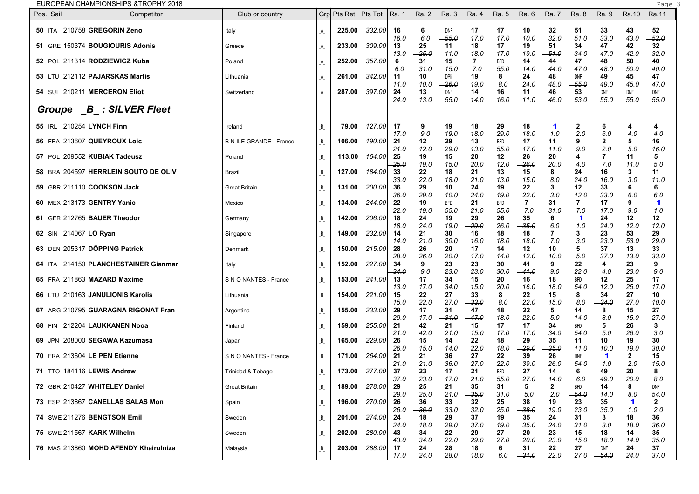EUROPEAN CHAMPIONSHIPS &TROPHY 2018 Page 3

| Pos | Sail                    | Competitor                              | Club or country                |                             | Grp Pts Ret | Pts Tot | Ra. 1              | Ra. 2              | Ra. 3              | Ra. 4              | Ra. 5                 | Ra. 6              | <b>Ra.</b> 7         | Ra. 8                 | Ra. 9               | Ra.10               | Ra.11               |  |
|-----|-------------------------|-----------------------------------------|--------------------------------|-----------------------------|-------------|---------|--------------------|--------------------|--------------------|--------------------|-----------------------|--------------------|----------------------|-----------------------|---------------------|---------------------|---------------------|--|
|     | 50   ITA                | 210758 GREGORIN Zeno                    | Italy                          | $\mathsf{A}_{\mathsf{L}}$   | 225.00      | 332.00  | 16                 | 6                  | DNF                | 17                 | 17                    | 10                 | 32                   | -51                   | 33                  | 43                  | 52                  |  |
|     |                         | 51   GRE 150374 BOUGIOURIS Adonis       | Greece                         |                             | 233.00      | 309.00  | 16.0<br>13         | 6.0<br>25          | -55.0<br>11        | 17.0<br>18         | 17.0<br>17            | 10.0<br>19         | 32.0<br>51           | 51.0<br>34            | 33.0<br>47          | 43.0<br>42          | $-52.0$<br>32       |  |
|     |                         | 52   POL 211314 RODZIEWICZ Kuba         | Poland                         | _A                          | 252.00      | 357.00  | 13.0<br>-6         | $-25.0$<br>31      | 11.0<br>15         | 18.0               | 17.0<br><b>BFD</b>    | 19.0<br>14         | $-51.0$<br>44        | 34.0<br>47            | 47.0<br>48          | 42.0<br>50          | 32.0<br>40          |  |
|     |                         | 53 LTU 212112 PAJARSKAS Martis          | Lithuania                      | A                           | 261.00      | 342.00  | 6.0<br>-11         | 31.0<br>10         | 15.0<br>DPli       | 7.0<br>19          | $-55.0$<br>8          | 14.0<br>24         | 44.0<br>48           | 47.0<br>DNF           | 48.0<br>49          | - 50.0<br>45        | 40.0<br>47          |  |
|     |                         | <b>54   SUI 210211 MERCERON Eliot</b>   | Switzerland                    | $\mathcal{A}_{\mathcal{L}}$ | 287.00      | 397.00  | 11.0<br>24         | 10.0<br>13         | -26.0<br>DNF       | 19.0<br>14         | 8.0<br>16             | 24.0<br>11         | 48.0<br>46           | $-55.0$<br>53         | 49.0<br>DNF         | 45.0<br>DNF         | 47.0<br>DNF         |  |
|     | Groupe                  | $\Box B$ : SILVER Fleet                 |                                |                             |             |         | 24.0               | 13.0               | -55.0              | 14.0               | 16.0                  | 11.0               | 46.0                 | 53.0                  | $-55.0$             | 55.0                | 55.0                |  |
|     | $55$   IRL              | 210254 LYNCH Finn                       | Ireland                        | B                           | 79.001      | 127.00  | 17                 | 9                  | 19                 | 18                 | 29                    | 18                 | $\blacktriangleleft$ | $\mathbf{2}$          | 6                   | 4                   | 4                   |  |
|     |                         | 56   FRA 213607 QUEYROUX Loic           | <b>B N ILE GRANDE - France</b> | $B_{-}$                     | 106.00      | 190.00  | 17.0<br>21         | 9.0<br>12          | $-19.0$<br>29      | 18.0<br>13         | $-29.0$<br><b>BFD</b> | 18.0<br>17         | 1.0<br>11            | 2.0<br>9              | 6.0                 | 4.0<br>5            | 4.0<br>16           |  |
|     |                         | 57 POL 209552 KUBIAK Tadeusz            | Poland                         | $B_{-}$                     | 113.00      | 164.00  | 21.0<br>25         | 12.0<br>19         | -29.0<br>15        | 13.0<br>20         | $-55.0$<br>12         | 17.0<br>26         | 11.0<br>20           | 9.0<br>4              | 2.0<br>7            | 5.0<br>11           | 16.0<br>5           |  |
|     |                         | 58   BRA 204597 HERRLEIN SOUTO DE OLIV  | Brazil                         | $B_{-}$                     | 127.00      | 184.00  | $-25.0$<br>33      | 19.0<br>22         | 15.0<br>18         | 20.0<br>21         | 12.0<br>13            | -26.0<br>15        | 20.0<br>8            | 40<br>24              | 7.0<br>16           | 11.0<br>3           | 5.0<br>11           |  |
|     |                         | 59 GBR 211110 COOKSON Jack              | <b>Great Britain</b>           | B                           | 131.00      | 200.00  | 33.0<br>36<br>36.0 | 22.0<br>29<br>29.0 | 18.0<br>10<br>10.0 | 21.0<br>24<br>24.0 | 13.0<br>19<br>19.0    | 15.0<br>22<br>22.0 | 8.0<br>3<br>3.0      | -24.0<br>12<br>12.0   | 16.0<br>33<br>-33.0 | 3.0<br>6<br>6.0     | 11.0<br>6<br>6.0    |  |
|     |                         | 60   MEX 213173 GENTRY Yanic            | Mexico                         | $B_{-}$                     | 134.00      | 244.00  | 22<br>22.0         | 19<br>19.0         | BFD<br>-55.0       | 21<br>21.0         | <b>BFD</b><br>-55.0   | 7<br>7.0           | 31<br>31.0           | -7<br>7.0             | 17<br>17.0          | 9<br>9.0            | 1<br>1.0            |  |
|     |                         | 61 GER 212765 BAUER Theodor             | Germany                        | $B_{-}$                     | 142.00      | 206.00  | 18<br>18.0         | 24<br>24.0         | 19<br>19.0         | 29<br>$-29.0$      | 26<br>26.0            | 35<br>$-35.0$      | 6<br>6.0             | 1<br>1.0              | 24<br>24.0          | 12<br>12.0          | 12<br>12.0          |  |
|     | 62   SIN 214067 LO Ryan |                                         | Singapore                      | B                           | 149.00      | 232.00  | 14<br>14.0         | 21<br>21.0         | 30<br>-30.0        | 16<br>16.0         | 18<br>18.0            | 18<br>18.0         | 7.0                  | 3<br>3.0              | 23<br>23.0          | 53<br>- 53.0        | 29<br>29.0          |  |
|     |                         | 63 DEN 205317 DÖPPING Patrick           | Denmark                        | $B_{-}$                     | 150.00      | 215.00  | 28<br>-28.0        | 26<br>26.0         | 20<br>20.0         | 17<br>17.0         | 14<br>14.0            | 12<br>12.0         | 10<br>10.0           | 5<br>5.0              | 37<br>-37.0         | 13<br>13.0          | 33<br>33.0          |  |
|     |                         | 64   ITA 214150 PLANCHESTAINER Gianmar  | Italy                          | $B_{-}$                     | 152.00      | 227.00  | 34<br>34.0         | 9<br>9.0           | 23<br>23.0         | 23<br>23.0         | 30<br>30.0            | 41<br>-- 41.0      | 9<br>9.0             | 22<br>22.0            | 4<br>4.0            | 23<br>23.0          | 9<br>9.0            |  |
|     |                         | 65   FRA 211863 MAZARD Maxime           | S N O NANTES - France          | B                           | 153.00      | 241.00  | 13<br>13.0         | 17<br>17.0         | 34<br>34.O         | 15<br>15.0         | 20<br>20.0            | 16<br>16.0         | 18<br>18.0           | <b>BFD</b><br>-54.0   | 12<br>12.0          | 25<br>25.0          | 17<br>17.0          |  |
|     |                         | 66   LTU 210163 JANULIONIS Karolis      | Lithuania                      | B                           | 154.00      | 221.00  | 15<br>15.0         | 22<br>22.0         | 27<br>27.0         | 33<br>$-33.0$      | 8<br>8.0              | 22<br>22.0         | 15<br>15.0           | 8<br>8.0              | 34<br>-34.0         | 27<br>27.0          | 10<br>10.0          |  |
|     |                         | 67   ARG 210795 GUARAGNA RIGONAT Fran   | Argentina                      | $B_{-}$                     | 155.00      | 233.00  | 29<br>29.0         | 17<br>17.0         | 31<br>-31.0        | 47<br>$-47.0$      | 18<br>18.0            | 22<br>22.0         | 5<br>5.0             | 14<br>14.0            | 8<br>8.0            | 15<br>15.0          | 27<br>27.0          |  |
|     | 68   FIN                | 212204 LAUKKANEN Nooa                   | Finland                        | B                           | 159.00      | 255.00  | 21<br>21.0         | 42<br>$-42.0$      | 21<br>21.0         | 15<br>15.0         | 17<br>17.0            | 17<br>17.0         | 34<br>34.0           | <b>BFD</b><br>-- 54.0 | 5<br>5.0            | 26<br>26.0          | 3<br>3.0            |  |
|     |                         | 69 JPN 208000 SEGAWA Kazumasa           | Japan                          | B                           | 165.00      | 229.00  | 26<br>26.0         | 15<br>15.0         | 14<br>14.0         | 22<br>22.0         | 18<br>18.0            | 29<br>$-29.0$      | 35<br>35.0           | 11<br>11.0            | 10<br>10.0          | 19<br>19.0          | 30<br>30.0          |  |
|     |                         | 70 FRA 213604 LE PEN Etienne            | S N O NANTES - France          | B                           | 171.00      | 264.00  | 21<br>21.0         | 21<br>21.0         | 36<br>36.0         | 27<br>27.0         | 22<br>22.0            | 39<br>$-39.0$      | 26<br>26.0           | DNF<br>-- 54.0        | 1<br>1.0            | $\mathbf{2}$<br>2.0 | 15<br>15.0          |  |
|     |                         | 71   TTO 184116 LEWIS Andrew            | Trinidad & Tobago              | $B_{-}$                     | 173.00      | 277.00  | 37<br>37.0         | 23<br>23.0         | 17<br>17.0         | 21<br>21.0         | <b>BFD</b><br>-55.0   | 27<br>27.0         | 14<br>14.0           | 6<br>6.0              | 49<br>49.0          | 20<br>20.0          | 8<br>8.0            |  |
|     |                         | 72 GBR 210427 WHITELEY Daniel           | <b>Great Britain</b>           | $B_{-}$                     | 189.00      | 278.00  | 29<br>29.0         | 25<br>25.0         | 21<br>21.0         | 35<br>$-35.0$      | 31<br>31.0            | 5<br>5.0           | $\mathbf{2}$<br>2.0  | <b>BFD</b><br>$-54.0$ | 14<br>14.0          | 8<br>8.0            | DNF<br>54.0         |  |
|     |                         | 73 ESP 213867 CANELLAS SALAS Mon        | Spain                          | $B_{-}$                     | 196.00      | 270.00  | 26<br>26.0         | 36<br>$-36.0$      | 33<br>33.0         | 32<br>32.0         | 25<br>25.0            | 38<br>$-38.0$      | 19<br>19.0           | 23<br>23.0            | 35<br>35.0          | 1<br>1.0            | $\mathbf{2}$<br>2.0 |  |
|     |                         | 74   SWE 211276 BENGTSON Emil           | Sweden                         | $B_{-}$                     | 201.00      | 274.00  | 24<br>24.0         | 18<br>18.0         | 29<br>29.0         | 37<br>$-37.0$      | 19<br>19.0            | 35<br>35.0         | 24<br>24.0           | 31<br>31.0            | 3<br>3.0            | 18<br>18.0          | 36<br>$-36.0$       |  |
|     |                         | 75   SWE 211567 KARK Wilhelm            | Sweden                         | $B_{-}$                     | 202.00      | 280.00  | 43<br>-43.0        | 34<br>34.0         | 22<br>22.0         | 29<br>29.0         | 27<br>27.0            | 20<br>20.0         | 23<br>23.0           | 15<br>15.0            | 18<br>18.0          | 14<br>14.0          | 35<br>$-35.0$       |  |
|     |                         | 76   MAS 213860 MOHD AFENDY Khairulniza | Malaysia                       | $B_{-}$                     | 203.00      | 288.00  | 17<br>17.0         | 24<br>24.0         | 28<br>28.0         | 18<br>18.0         | 6.0                   | 31<br>$-31.0$      | 22<br>22.0           | 27                    | DNF<br>$27.0 -54.0$ | 24<br>24.0          | 37<br>37.0          |  |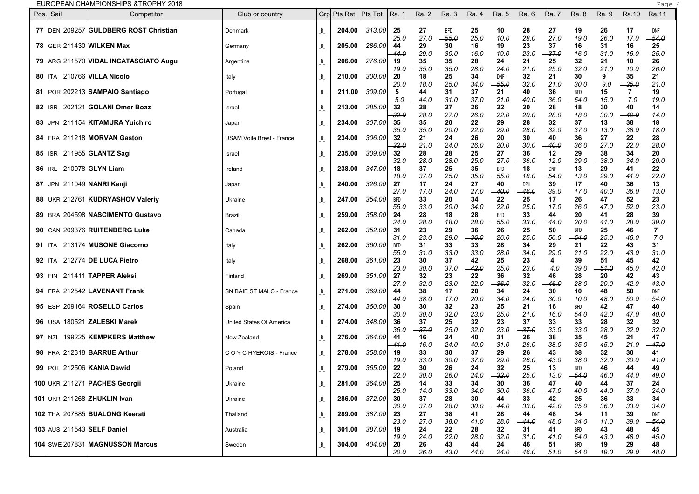| Pos  | Sail                      | Competitor                                     | Club or country                  |         | Grp Pts Ret | Pts Tot | Ra. 1      | Ra. 2         | Ra. 3       | Ra. 4         | Ra. 5                 | Ra. 6         | Ra. 7              | Ra. 8               | Ra. 9      | Ra.10         | Ra.11       |  |
|------|---------------------------|------------------------------------------------|----------------------------------|---------|-------------|---------|------------|---------------|-------------|---------------|-----------------------|---------------|--------------------|---------------------|------------|---------------|-------------|--|
|      |                           | 77   DEN 209257 GULDBERG ROST Christian        | Denmark                          | B       | 204.00      | 313.00  | 25         | 27            | <b>BFD</b>  | 25            | 10                    | 28            | 27                 | 19                  | 26         | 17            | <b>DNF</b>  |  |
|      |                           |                                                |                                  |         |             |         | 25.0       | 27.0          | $-55.0$     | 25.0          | 10.0                  | 28.0          | 27.0               | 19.0                | 26.0       | 17.0          | -54.0       |  |
|      |                           | 78 GER 211430 WILKEN Max                       | Germany                          | B       | 205.00      | 286.00  | 44         | 29            | 30          | 16            | 19                    | 23            | 37                 | 16                  | 31         | 16            | 25          |  |
|      |                           |                                                |                                  |         |             |         | 44.0       | 29.0          | 30.0        | 16.0          | 19.0                  | 23.0          | -37.0              | 16.0                | 31.0       | 16.0          | 25.0        |  |
|      |                           | 79   ARG 211570 <b>VIDAL INCATASCIATO Augu</b> | Argentina                        | B       | 206.00      | 276.00  | 19<br>19.0 | 35<br>$-35.0$ | 35<br>-35.0 | 28<br>28.0    | 24<br>24.0            | 21<br>21.0    | 25<br>25.0         | 32<br>32.0          | 21<br>21.0 | 10<br>10.0    | 26<br>26.0  |  |
|      |                           | 80   ITA 210766 VILLA Nicolo                   | Italy                            | B       | 210.00      | 300.00  | 20         | 18            | 25          | 34            | DNF                   | 32            | 21                 | 30                  | 9          | 35            | 21          |  |
|      |                           |                                                |                                  |         |             |         | 20.0       | 18.0          | 25.0        | 34.0          | $-55.0$               | 32.0          | 21.0               | 30.0                | 9.0        | $-35.0$       | 21.0        |  |
|      |                           | 81   POR 202213 SAMPAIO Santiago               | Portugal                         | B       | 211.00      | 309.00  | 5<br>5.0   | 44<br>- 44.0  | 31<br>31.0  | 37<br>37.0    | 21<br>21.0            | 40<br>40.0    | 36<br>36.0         | <b>BFD</b><br>-54.0 | 15<br>15.0 | 7<br>7.0      | 19<br>19.0  |  |
|      |                           | 82   ISR 202121 GOLANI Omer Boaz               | Israel                           | B       | 213.00      | 285.00  | 32         | 28            | 27          | 26            | 22                    | 20            | 28                 | 18                  | 30         | 40            | 14          |  |
|      |                           |                                                |                                  |         |             |         | -32.0      | 28.0          | 27.0        | 26.0          | 22.0                  | 20.0          | 28.0               | 18.0                | 30.0       | - 40.0        | 14.0        |  |
| 83   |                           | JPN 211154 KITAMURA Yuichiro                   | Japan                            | B       | 234.00      | 307.00  | 35         | 35            | 20          | 22            | 29                    | 28            | 32                 | 37                  | 13         | 38            | 18          |  |
|      |                           | 84   FRA 211218 MORVAN Gaston                  | <b>USAM Voile Brest - France</b> | B       | 234.00      | 306.00  | 35.0<br>32 | 35.0<br>21    | 20.0<br>24  | 22.0<br>26    | 29.0<br>20            | 28.0<br>30    | 32.0<br>40         | 37.0<br>36          | 13.0<br>27 | $-38.0$<br>22 | 18.0<br>28  |  |
|      |                           |                                                |                                  |         |             |         | 32.0       | 21.0          | 24.0        | 26.0          | 20.0                  | 30.0          | 40.0               | 36.0                | 27.0       | 22.0          | 28.0        |  |
|      |                           | 85   ISR 211955 GLANTZ Sagi                    | Israel                           | B       | 235.00      | 309.00  | 32         | 28            | 28          | 25            | 27                    | 36            | 12                 | 29                  | 38         | 34            | 20          |  |
|      |                           |                                                |                                  |         |             |         | 32.0       | 28.0          | 28.0        | 25.0          | 27.0                  | -36.0         | 12.0               | 29.0                | -38.0      | 34.0          | 20.0        |  |
|      | 86   IRL 210978 GLYN Liam |                                                | Ireland                          | B       | 238.00      | 347.00  | 18<br>18.0 | 37<br>37.0    | 25<br>25.0  | 35<br>35.0    | <b>BFD</b><br>$-55.0$ | 18<br>18.0    | <b>DNF</b><br>54.0 | 13<br>13.0          | 29<br>29.0 | 41<br>41.0    | 22<br>22.0  |  |
| 87 I |                           | JPN 211049 NANRI Kenji                         | Japan                            | B       | 240.00      | 326.00  | 27         | 17            | 24          | 27            | 40                    | DPli          | 39                 | 17                  | 40         | 36            | 13          |  |
|      |                           |                                                |                                  |         |             |         | 27.0       | 17.0          | 24.0        | 27.0          | -- 40.0               | - 46.0        | 39.0               | 17.0                | 40.0       | 36.0          | 13.0        |  |
|      |                           | 88 UKR 212761 KUDRYASHOV Valeriy               | Ukraine                          | B       | 247.00      | 354.00  | BFD        | 33            | 20          | 34            | 22                    | 25            | 17                 | 26                  | 47         | 52            | 23          |  |
|      |                           |                                                |                                  |         |             |         | -55.0      | 33.0          | 20.0        | 34.0          | 22.0                  | 25.0          | 17.0               | 26.0                | 47.0       | -52.0         | 23.0        |  |
|      |                           | 89   BRA 204598 NASCIMENTO Gustavo             | Brazil                           | B       | 259.00      | 358.00  | 24<br>24.0 | 28<br>28.0    | 18<br>18.0  | 28<br>28.0    | <b>BFD</b><br>-55.0   | 33<br>33.0    | 44<br>44.0         | 20<br>20.0          | 41<br>41.0 | 28<br>28.0    | 39<br>39.O  |  |
|      |                           | 90   CAN 209376 RUITENBERG Luke                | Canada                           | B       | 262.00      | 352.00  | 31         | 23            | 29          | 36            | 26                    | 25            | 50                 | <b>BFD</b>          | 25         | 46            | 7           |  |
|      |                           |                                                |                                  |         |             |         | 31.0       | 23.0          | 29.0        | -36.0         | 26.0                  | 25.0          | 50.0               | -54.0               | 25.0       | 46.0          | 7.0         |  |
|      |                           | 91   ITA 213174 MUSONE Giacomo                 | Italy                            | B       | 262.00      | 360.00  | <b>BFD</b> | 31            | 33          | 33            | 28                    | 34            | 29                 | 21                  | 22         | 43            | 31          |  |
|      |                           |                                                |                                  |         |             |         | -55.0      | 31.0          | 33.0        | 33.0          | 28.0                  | 34.0          | 29.0               | 21.0                | 22.0       | -43.0         | 31.0        |  |
|      |                           | 92   ITA 212774 DE LUCA Pietro                 | Italy                            | B       | 268.00      | 361.00  | 23<br>23.0 | 30<br>30.0    | 37<br>37.0  | 42<br>$-42.0$ | 25<br>25.0            | 23<br>23.0    | 4<br>4.0           | 39<br>39.0          | 51<br>51.0 | 45<br>45.0    | 42<br>42.0  |  |
|      | $93$   FIN                | 211411 TAPPER Aleksi                           | Finland                          | B       | 269.00      | 351.00  | 27         | 32            | 23          | 22            | 36                    | 32            | 46                 | 28                  | 20         | 42            | 43          |  |
|      |                           |                                                |                                  |         |             |         | 27.0       | 32.0          | 23.0        | 22.0          | -36.0                 | 32.0          | 46.0               | 28.0                | 20.0       | 42.0          | 43.0        |  |
|      |                           | 94   FRA 212542 LAVENANT Frank                 | SN BAIE ST MALO - France         | B       | 271.00      | 369.00  | 44         | 38            | 17          | 20            | 34                    | 24            | 30                 | 10                  | 48         | 50            | DNF         |  |
|      |                           |                                                |                                  |         |             |         | 44.0       | 38.0          | 17.0        | 20.0          | 34.0                  | 24.0          | 30.0               | 10.0                | 48.0       | 50.0          | 54.0        |  |
|      |                           | 95   ESP 209164 ROSELLO Carlos                 | Spain                            | B       | 274.00      | 360.00  | 30<br>30.0 | 30<br>30.0    | 32<br>-32.0 | 23<br>23.0    | 25<br>25.0            | 21<br>21.0    | 16<br>16.0         | <b>BFD</b><br>-54.0 | 42<br>42.0 | 47<br>47.0    | 40<br>40.0  |  |
|      |                           | 96 USA 180521 ZALESKI Marek                    | United States Of America         | B       | 274.00      | 348.00  | 36         | 37            | 25          | 32            | 23                    | 37            | 33                 | 33                  | 28         | 32            | 32          |  |
|      |                           |                                                |                                  |         |             |         | 36.0       | -37.0         | 25.0        | 32.0          | 23.0                  | 37.0          | 33.0               | 33.0                | 28.0       | 32.0          | 32.0        |  |
|      |                           | 97 NZL 199225 KEMPKERS Matthew                 | New Zealand                      | B       | 276.00      | 364.00  | 41         | 16            | 24          | 40            | 31                    | 26            | 38                 | 35                  | 45         | 21            | 47          |  |
|      |                           | 98   FRA 212318 BARRUE Arthur                  | C O Y C HYEROIS - France         | B       | 278.00      | 358.00  | 41.0<br>19 | 16.0<br>33    | 24.0<br>30  | 40.0<br>37    | 31.0<br>29            | 26.0<br>26    | 38.0<br>43         | 35.0<br>38          | 45.0<br>32 | 21.0<br>30    | -47.0<br>41 |  |
|      |                           |                                                |                                  |         |             |         | 19.0       | 33.0          | 30.0        | -37.0         | 29.0                  | 26.0          | 43.0               | 38.0                | 32.0       | 30.0          | 41.0        |  |
|      |                           | 99 POL 212506 KANIA Dawid                      | Poland                           | $B_{-}$ | 279.00      | 365.00  | 22         | 30            | 26          | 24            | 32                    | 25            | 13                 | <b>BFD</b>          | 46         | 44            | 49          |  |
|      |                           |                                                |                                  |         |             |         | 22.0       | 30.0          | 26.0        | 24.0          | $-32.0$               | 25.0          | 13.0               | $-54.0$             | 46.0       | 44.0          | 49.0        |  |
|      |                           | 100 UKR 211271 PACHES Georgii                  | Ukraine                          | $B_{-}$ | 281.00      | 364.00  | 25         | 14            | 33          | 34            | 30                    | 36            | 47                 | 40                  | 44         | 37            | 24          |  |
|      |                           | 101 UKR 211268 ZHUKLIN Ivan                    | Ukraine                          | B       | 286.00      | 372.00  | 25.0<br>30 | 14.0<br>37    | 33.0<br>28  | 34.0<br>30    | 30.0<br>44            | $-36.0$<br>33 | $+47.0$<br>42      | 40.0<br>25          | 44.0<br>36 | 37.0<br>33    | 24.0<br>34  |  |
|      |                           |                                                |                                  |         |             |         | 30.0       | 37.0          | 28.0        | 30.0          | $-44.0$               | 33.0          | $-42.0$            | 25.0                | 36.0       | 33.0          | 34.0        |  |
|      |                           | 102 THA 207885 BUALONG Keerati                 | Thailand                         | B       | 289.00      | 387.00  | 23         | 27            | 38          | 41            | 28                    | 44            | 48                 | 34                  | 11         | 39            | DNF         |  |
|      |                           |                                                |                                  |         |             |         | 23.0       | 27.0          | 38.0        | 41.0          | 28.0                  | $-44.0$       | 48.0               | 34.0                | 11.0       | 39.0          | -54.0       |  |
|      |                           | 103 AUS 211543 SELF Daniel                     | Australia                        | B       | 301.00      | 387.00  | 19         | 24            | 22          | 28            | 32                    | 31            | 41                 | BFD                 | 43         | 48            | 45          |  |
|      |                           | 104 SWE 207831 MAGNUSSON Marcus                | Sweden                           | $B_{-}$ | 304.00      | 404.00  | 19.0<br>20 | 24.0<br>26    | 22.0<br>43  | 28.0<br>44    | $-32.0$<br>24         | 31.0<br>46    | 41.0<br>51         | $-54.0$<br>BFD      | 43.0<br>19 | 48.0<br>29    | 45.0<br>48  |  |
|      |                           |                                                |                                  |         |             |         | 20.0       | 26.0          | 43.0        | 44.0          | 24.0                  | $-46.0$       |                    | $51.0 -54.0$        | 19.0       | 29.0          | 48.0        |  |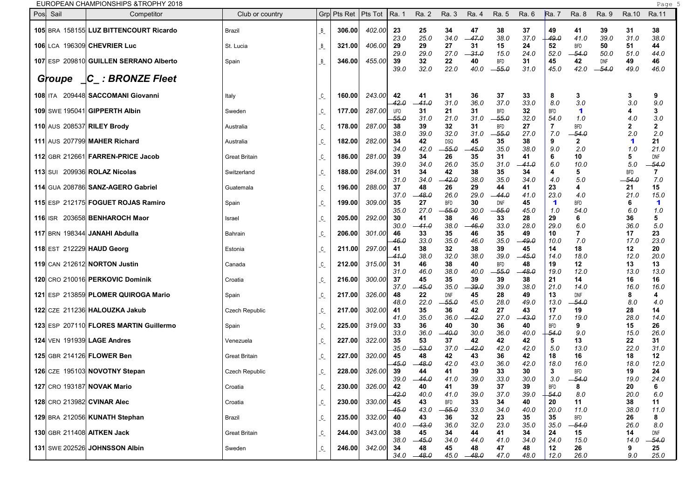EUROPEAN CHAMPIONSHIPS &TROPHY 2018 Page 5 and the state of the state of the state of the state of the state of the state of the state of the state of the state of the state of the state of the state of the state of the st

| Pos Sail | Competitor                             | Club or country       |                      | Grp Pts Ret   Pts Tot |        | Ra 1               | Ra. 2              | Ra. 3                 | Ra. 4                    | Ra. 5                 | Ra. 6              | <b>Ra.</b> 7          | Ra. 8                       | Ra. 9              | Ra.10                 | Ra.11              |  |
|----------|----------------------------------------|-----------------------|----------------------|-----------------------|--------|--------------------|--------------------|-----------------------|--------------------------|-----------------------|--------------------|-----------------------|-----------------------------|--------------------|-----------------------|--------------------|--|
|          | 105 BRA 158155 LUZ BITTENCOURT Ricardo | Brazil                | B                    | 306.00                | 402.00 | 23                 | 25                 | 34                    | 47                       | 38                    | 37                 | 49                    | 41                          | 39                 | 31                    | 38                 |  |
|          | 106 LCA 196309 CHEVRIER Luc            | St. Lucia             | B                    | 321.00                | 406.00 | 23.0<br>29<br>29.0 | 25.0<br>29<br>29.0 | 34.0<br>27<br>27.0    | $-47.0$<br>31<br>$-31.0$ | 38.0<br>15<br>15.0    | 37.0<br>24<br>24.0 | 49.0<br>52<br>52.0    | 41.0<br><b>BFD</b><br>-54.0 | 39.0<br>50<br>50.0 | 31.0<br>51<br>51.0    | 38.0<br>44<br>44.0 |  |
|          | 107 ESP 209810 GUILLEN SERRANO Alberto | Spain                 | B                    | 346.00                | 455.00 | 39<br>39.0         | 32<br>32.0         | 22<br>22.0            | 40<br>40.0               | <b>BFD</b><br>$-55.0$ | 31<br>31.0         | 45<br>45.0            | 42<br>42.0                  | DNF<br>-54.0       | 49<br>49.0            | 46<br>46.0         |  |
| Groupe   | $\Box C_$ : BRONZE Fleet               |                       |                      |                       |        |                    |                    |                       |                          |                       |                    |                       |                             |                    |                       |                    |  |
|          | 108 ITA 209448 SACCOMANI Giovanni      | Italy                 | $C_{-}$              | 160.00                | 243.00 | 42<br>42.0         | 41<br>$-41.0$      | 31<br>31.0            | 36<br>36.0               | 37<br>37.0            | 33<br>33.0         | 8<br>8.0              | 3<br>3.0                    |                    | 3<br>3.0              | 9<br>9.0           |  |
|          | 109 SWE 195041 GIPPERTH Albin          | Sweden                | C                    | 177.00                | 287.00 | UFD<br>-55.0       | 31<br>31.0         | 21<br>21.0            | 31<br>31.0               | <b>BFD</b><br>-55.0   | 32<br>32.0         | <b>BFD</b><br>54.0    | $\blacktriangleleft$<br>1.0 |                    | 4.0                   | 3<br>3.0           |  |
|          | 110 AUS 208537 RILEY Brody             | Australia             | C                    | 178.00                | 287.00 | 38<br>38.0         | 39<br>39.0         | 32<br>32.0            | 31<br>31.0               | <b>BFD</b><br>$-55.0$ | 27<br>27.0         | 7<br>7.0              | <b>BFD</b><br>-54.0         |                    | 2.0                   | 2<br>2.0           |  |
|          | 111 AUS 207799 MAHER Richard           | Australia             | $C_{-}$              | 182.00                | 282.00 | 34<br>34.0         | 42<br>42.0         | <b>DSQ</b><br>$-55.0$ | 45<br>45.0               | 35<br>35.0            | 38<br>38.0         | 9<br>9.0              | $\mathbf{2}$<br>2.0         |                    | 1<br>1.0              | 21<br>21.0         |  |
|          | 112 GBR 212661 FARREN-PRICE Jacob      | <b>Great Britain</b>  | C                    | 186.00                | 281.00 | 39<br>39.0         | 34<br>34.0         | 26<br>26.0            | 35<br>35.0               | 31<br>31.0            | 41<br>41.0         | 6<br>6.0              | 10<br>10.0                  |                    | 5<br>5.0              | DNF<br>-54.0       |  |
|          | <b>113 SUI 209936 ROLAZ Nicolas</b>    | Switzerland           | C                    | 188.00                | 284.00 | 31<br>31.0         | 34<br>34.0         | 42<br>42.0            | 38<br>38.0               | 35<br>35.0            | 34<br>34.0         | 4<br>4.0              | 5<br>5.0                    |                    | <b>BFD</b><br>$-54.0$ | 7<br>7.0           |  |
|          | 114 GUA 208786 SANZ-AGERO Gabriel      | Guatemala             | C                    | 196.00                | 288.00 | 37<br>37.0         | 48<br>48.0         | 26<br>26.0            | 29<br>29.0               | 44<br>-44.0           | 41<br>41.0         | 23<br>23.0            | 4<br>4.0                    |                    | 21<br>21.0            | 15<br>15.0         |  |
|          | 115 ESP 212175 FOGUET ROJAS Ramiro     | Spain                 | C                    | 199.00                | 309.00 | 35<br>35.0         | 27<br>27.0         | <b>BFD</b><br>$-55.0$ | 30<br>30.0               | DNF<br>$-55.0$        | 45<br>45.0         | $\mathbf 1$<br>1.0    | <b>BFD</b><br>54.0          |                    | 6<br>6.0              | 1<br>1.0           |  |
|          | 116 ISR 203658 BENHAROCH Maor          | Israel                | C                    | 205.00                | 292.00 | 30<br>30.0         | 41<br>-- 41.0      | 38<br>38.0            | 46<br>46.0               | 33<br>33.0            | 28<br>28.0         | 29<br>29.0            | 6<br>6.0                    |                    | 36<br>36.0            | 5<br>5.0           |  |
|          | 117 BRN 198344 JANAHI Abdulla          | Bahrain               | C                    | 206.00                | 301.00 | 46<br>-46.0        | 33<br>33.0         | 35<br>35.0            | 46<br>46.0               | 35<br>35.0            | 49<br>49.0         | 10<br>10.0            | 7.0                         |                    | 17<br>17.0            | 23<br>23.0         |  |
|          | 118 EST 212229 HAUD Georg              | Estonia               | C                    | 211.00                | 297.00 | 41<br>41.0         | 38<br>38.0         | 32<br>32.0            | 38<br>38.0               | 39<br>39.0            | 45<br>-45.0        | 14<br>14.0            | 18<br>18.0                  |                    | 12<br>12.0            | 20<br>20.0         |  |
|          | <b>119 CAN 212612 NORTON Justin</b>    | Canada                | C                    | 212.00                | 315.00 | -31<br>31.0        | 46<br>46.0         | 38<br>38.0            | 40<br>40.0               | <b>BFD</b><br>$-55.0$ | 48<br>48.0         | 19<br>19.0            | 12<br>12.0                  |                    | 13<br>13.0            | 13<br>13.0         |  |
|          | 120 CRO 210016 PERKOVIC Dominik        | Croatia               | C                    | 216.00                | 300.00 | 37<br>37.0         | 45<br>$-45.0$      | 35<br>35.0            | 39<br>$-39.0$            | 39<br>39.0            | 38<br>38.0         | 21<br>21.0            | 14<br>14.0                  |                    | 16<br>16.0            | 16<br>16.0         |  |
|          | 121 ESP 213859 PLOMER QUIROGA Mario    | Spain                 | C                    | 217.00                | 326.00 | 48<br>48.0         | 22<br>22.0         | DNF<br>55.0           | 45<br>45.0               | 28<br>28.0            | 49<br>49.0         | 13<br>13.0            | DNF<br>-54.0                |                    | 8<br>8.0              | 4<br>4.0           |  |
|          | 122 CZE 211236 HALOUZKA Jakub          | <b>Czech Republic</b> | C                    | 217.00                | 302.00 | 41<br>41.0         | 35<br>35.0         | 36<br>36.0            | 42<br>42.0               | 27<br>27.0            | 43<br>43.0         | 17<br>17.0            | 19<br>19.0                  |                    | 28<br>28.0            | 14<br>14.0         |  |
|          | 123 ESP 207110 FLORES MARTIN Guillermo | Spain                 | C                    | 225.00                | 319.00 | 33<br>33.0         | 36<br>36.0         | 40<br>$-40.0$         | 30<br>30.0               | 36<br>36.0            | 40<br>40.0         | <b>BFD</b><br>-54.0   | 9<br>9.0                    |                    | 15<br>15.0            | 26<br>26.0         |  |
|          | <b>124 VEN 191939 LAGE Andres</b>      | Venezuela             | C                    | 227.00                | 322.00 | 35<br>35.0         | 53<br>-53.0        | 37<br>37.0            | 42<br>42.0               | 42<br>42.0            | 42<br>42.0         | 5<br>5.0              | 13<br>13.0                  |                    | 22<br>22.0            | 31<br>31.0         |  |
|          | 125 GBR 214126 FLOWER Ben              | Great Britain         | C                    | 227.00                | 320.00 | 45<br>45.0         | 48<br>48.0         | 42<br>42.0            | 43<br>43.0               | 36<br>36.0            | 42<br>42.0         | 18<br>18.0            | 16<br>16.0                  |                    | 18<br>18.0            | 12<br>12.0         |  |
|          | 126 CZE 195103 NOVOTNY Stepan          | Czech Republic        | $C_{-}$              | 228.00                | 326.00 | 39<br>39.0         | 44<br>44.0         | 41<br>41.0            | 39<br>39.0               | 33<br>33.0            | 30<br>30.0         | 3<br>3.0              | BFD<br>-54.0                |                    | 19<br>19.0            | 24<br>24.0         |  |
|          | 127 CRO 193187 NOVAK Mario             | Croatia               | $\_C\_$              | 230.00                | 326.00 | 42<br>42.0         | 40<br>40.0         | 41<br>41.0            | 39<br>39.0               | 37<br>37.0            | 39<br>39.0         | <b>BFD</b><br>$-54.0$ | 8<br>8.0                    |                    | 20<br>20.0            | 6<br>6.0           |  |
|          | 128 CRO 213982 CVINAR Alec             | Croatia               | $\_C\_$              | 230.00                | 330.00 | 45<br>45.0         | 43<br>43.0         | BFD<br>$-55.0$        | 33<br>33.0               | 34<br>34.0            | 40<br>40.0         | 20<br>20.0            | 11<br>11.0                  |                    | 38<br>38.0            | 11<br>11.0         |  |
|          | 129 BRA 212056 KUNATH Stephan          | Brazil                | $\_C\_$              | 235.00                | 332.00 | 40<br>40.0         | 43<br>$-43.0$      | 36<br>36.0            | 32<br>32.0               | 23<br>23.0            | 35<br>35.0         | 35<br>35.0            | BFD<br>$-54.0$              |                    | 26<br>26.0            | 8<br>8.0           |  |
|          | 130 GBR 211408 AITKEN Jack             | <b>Great Britain</b>  | $\_C\_$              | 244.00                | 343.00 | 38<br>38.0         | 45<br>$-45.0$      | 34<br>34.0            | 44<br>44.0               | 41<br>41.0            | 34<br>34.0         | 24<br>24.0            | 15<br>15.0                  |                    | 14<br>14.0            | DNF<br>$-54.0$     |  |
|          | 131 SWE 202526 JOHNSSON Albin          | Sweden                | $\_{\mathbb{C}_{-}}$ | 246.00                | 342.00 | 34<br>34.0         | 48<br>$-48.0$      | 45                    | 48<br>$45.0 -48.0$       | 47<br>47.0            | 48<br>48.0         | 12<br>12.0            | 26<br>26.0                  |                    | 9<br>9.0              | 25<br>25.0         |  |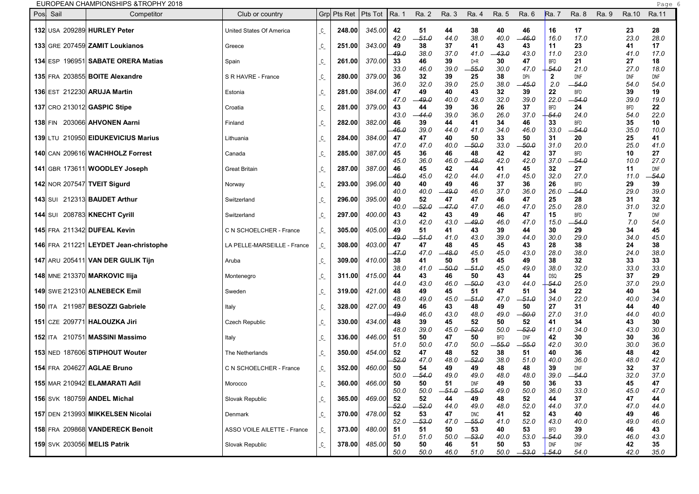| EUROPEAN CHAMPIONSHIPS & TROPHY 2018 |  |  |
|--------------------------------------|--|--|
|--------------------------------------|--|--|

|                                    | EUROPEAN CHAMPIONSHIPS &TROPHY 2018   |                             |                                  |                       |        |            |               |             |              |             |               |                    |                       |       |                    | Page 6             |  |
|------------------------------------|---------------------------------------|-----------------------------|----------------------------------|-----------------------|--------|------------|---------------|-------------|--------------|-------------|---------------|--------------------|-----------------------|-------|--------------------|--------------------|--|
| Pos Sail                           | Competitor                            | Club or country             |                                  | Grp Pts Ret   Pts Tot |        | Ra. 1      | Ra. 2         | Ra. 3       | Ra. 4        | Ra. 5       | Ra. 6         | <b>Ra.</b> 7       | Ra. 8                 | Ra. 9 | Ra.10              | Ra.11              |  |
|                                    | 132 USA 209289 HURLEY Peter           | United States Of America    | $C_{-}$                          | 248.00                | 345.00 | 42         | 51            | 44          | 38           | 40          | 46            | 16                 | 17                    |       | 23                 | 28                 |  |
|                                    |                                       |                             |                                  |                       |        | 42.0       | $-51.0$       | 44.0        | 38.0         | 40.0        | $-46.0$       | 16.0               | 17.0                  |       | 23.0               | 28.0               |  |
|                                    | 133 GRE 207459 ZAMIT Loukianos        | Greece                      | $C_{-}$                          | 251.00                | 343.00 | 49         | 38            | 37          | 41           | 43          | 43            | 11                 | 23                    |       | 41                 | 17                 |  |
|                                    |                                       |                             |                                  |                       |        | 49.0       | 38.0          | 37.0        | 41.0         | $-43.0$     | 43.0          | 11.0               | 23.0                  |       | 41.0               | 17.0               |  |
|                                    | 134 ESP 196951 SABATE ORERA Matias    | Spain                       | $\overline{\phantom{a}}^{\rm c}$ | 261.00                | 370.00 | 33<br>33.0 | 46<br>46.0    | 39<br>39.0  | D+R<br>-55.0 | 30<br>30.0  | 47<br>47.0    | <b>BFD</b><br>54.0 | 21<br>21.0            |       | 27<br>27.0         | 18<br>18.0         |  |
|                                    | 135 FRA 203855 BOITE Alexandre        | S R HAVRE - France          | $\mathcal{C}_{-}$                | 280.00                | 379.00 | 36         | 32            | 39          | 25           | 38          | DPIi          | $\mathbf{2}$       | DNF                   |       | DNF                | DNF                |  |
|                                    |                                       |                             |                                  |                       |        | 36.0       | 32.0          | 39.0        | 25.0         | 38.0        | 45.0          | 2.0                | -54.0                 |       | 54.0               | 54.0               |  |
|                                    | 136 EST 212230 ARUJA Martin           | Estonia                     | $\mathcal{C}_{-}$                | 281.00                | 384.00 | 47         | 49            | 40          | 43           | 32          | 39            | 22                 | <b>BFD</b>            |       | 39                 | 19                 |  |
|                                    | 137 CRO 213012 GASPIC Stipe           | Croatia                     | $\mathcal{C}_{-}$                | 281.00                | 379.00 | 47.0<br>43 | -49.0<br>44   | 40.0<br>39  | 43.0<br>36   | 32.0<br>26  | 39.0<br>37    | 22.0<br><b>BFD</b> | -54.0<br>24           |       | 39.0<br><b>BFD</b> | 19.0<br>22         |  |
|                                    |                                       |                             |                                  |                       |        | 43.0       | -44.0         | 39.0        | 36.0         | 26.0        | 37.0          | 54.0               | 24.0                  |       | 54.0               | 22.0               |  |
|                                    | 138 FIN 203066 AHVONEN Aarni          | Finland                     | $\mathcal{C}_{-}$                | 282.00                | 382.00 | 46         | 39            | 44          | 41           | 34          | 46            | 33                 | <b>BFD</b>            |       | 35                 | 10                 |  |
|                                    |                                       |                             |                                  |                       |        | 46.0       | 39.0          | 44.0        | 41.0         | 34.0        | 46.0          | 33.0               | -54.0                 |       | 35.0               | 10.0               |  |
|                                    | 139 LTU 210950 EIDUKEVICIUS Marius    | Lithuania                   | $\mathcal{C}_{-}$                | 284.00                | 384.00 | 47<br>47.0 | 47<br>47.0    | 40<br>40.0  | 50<br>- 50.0 | 33<br>33.0  | 50<br>-50.0   | 31<br>31.0         | 20<br>20.0            |       | 25<br>25.0         | 41<br>41.0         |  |
|                                    | 140 CAN 209616 WACHHOLZ Forrest       | Canada                      | $\mathcal{C}_{-}$                | 285.00                | 387.00 | 45         | 36            | 46          | 48           | 42          | 42            | 37                 | <b>BFD</b>            |       | 10                 | 27                 |  |
|                                    |                                       |                             |                                  |                       |        | 45.0       | 36.0          | 46.0        | -48.0        | 42.0        | 42.0          | 37.0               | -54.0                 |       | 10.0               | 27.0               |  |
|                                    | 141 GBR 173611 WOODLEY Joseph         | <b>Great Britain</b>        | $C_{-}$                          | 287.00                | 387.00 | 46         | 45            | 42          | 44           | 41          | 45            | 32                 | 27                    |       | 11                 | DNF                |  |
| <b>142 NOR 207547 TVEIT Sigurd</b> |                                       | Norway                      | $C_{-}$                          | 293.00                | 396.00 | 46.O<br>40 | 45.0<br>40    | 42.0<br>49  | 44.0<br>46   | 41.0<br>37  | 45.0<br>36    | 32.0<br>26         | 27.0<br><b>BFD</b>    |       | 11.0<br>29         | -54.0<br>39        |  |
|                                    |                                       |                             |                                  |                       |        | 40.0       | 40.0          | -49.0       | 46.0         | 37.0        | 36.0          | 26.0               | -54.0                 |       | 29.0               | 39.O               |  |
|                                    | 143 SUI 212313 <b>BAUDET Arthur</b>   | Switzerland                 | C                                | 296.00                | 395.00 | 40         | 52            | 47          | 47           | 46          | 47            | 25                 | 28                    |       | 31                 | 32                 |  |
|                                    |                                       |                             |                                  |                       |        | 40.0       | $-52.0$       | -47.0       | 47.0         | 46.0        | 47.0          | 25.0               | 28.0                  |       | 31.0               | 32.0               |  |
|                                    | 144 SUI 208783 KNECHT Cyrill          | Switzerland                 | C                                | 297.00                | 400.00 | 43<br>43.0 | 42<br>42.0    | 43<br>43.0  | 49<br>49.0   | 46<br>46.0  | 47<br>47.0    | 15<br>15.0         | <b>BFD</b><br>-54.0   |       | -7<br>7.0          | <b>DNF</b><br>54.0 |  |
|                                    | 145 FRA 211342 DUFEAL Kevin           | C N SCHOELCHER - France     | $C_{-}$                          | 305.00                | 405.00 | 49         | 51            | 41          | 43           | 39          | 44            | 30                 | 29                    |       | 34                 | 45                 |  |
|                                    |                                       |                             |                                  |                       |        | -49.0      | -51.0         | 41.0        | 43.0         | 39.0        | 44.0          | 30.0               | 29.0                  |       | 34.0               | 45.0               |  |
|                                    | 146 FRA 211221 LEYDET Jean-christophe | LA PELLE-MARSEILLE - France | $\mathcal{C}_{-}$                | 308.00                | 403.00 | 47         | 47            | 48          | 45           | 45          | 43            | 28                 | 38                    |       | 24                 | 38                 |  |
|                                    | 147 ARU 205411 VAN DER GULIK Tijn     | Aruba                       | $C_{-}$                          | 309.00                | 410.00 | 47.0<br>38 | 47.0<br>41    | -48.0<br>50 | 45.0<br>51   | 45.0<br>45  | 43.0<br>49    | 28.0<br>38         | 38.0<br>32            |       | 24.0<br>33         | 38.0<br>33         |  |
|                                    |                                       |                             |                                  |                       |        | 38.0       | 41.0          | -50.0       | -51.0        | 45.0        | 49.0          | 38.0               | 32.0                  |       | 33.0               | 33.O               |  |
|                                    | 148 MNE 213370 MARKOVIC Ilija         | Montenegro                  | $C_{-}$                          | 311.00                | 415.00 | 44         | 43            | 46          | 50           | 43          | 44            | DSQ                | 25                    |       | 37                 | 29                 |  |
|                                    |                                       |                             |                                  |                       |        | 44.0       | 43.0          | 46.0        | 50.0         | 43.0        | 44.0          | 54.0               | 25.0                  |       | 37.0               | 29.0               |  |
|                                    | 149 SWE 212310 ALNEBECK Emil          | Sweden                      | $\mathcal{C}_{-}$                | 319.00                | 421.00 | 48<br>48.0 | 49<br>49.0    | 45<br>45.0  | 51<br>51.0   | 47<br>47.0  | 51<br>-51.0   | 34<br>34.0         | 22<br>22.0            |       | 40<br>40.0         | 34<br>34.O         |  |
|                                    | 150 ITA 211987 BESOZZI Gabriele       | Italy                       | $C_{-}$                          | 328.00                | 427.00 | 49         | 46            | 43          | 48           | 49          | 50            | 27                 | 31                    |       | 44                 | 40                 |  |
|                                    |                                       |                             |                                  |                       |        | 49.0       | 46.0          | 43.0        | 48.0         | 49.0        | - 50.0        | 27.0               | 31.0                  |       | 44.0               | 40.0               |  |
|                                    | 151 CZE 209771 HALOUZKA Jiri          | Czech Republic              | $C_{-}$                          | 330.00                | 434.00 | 48         | 39            | 45          | 52           | 50          | 52            | 41                 | 34                    |       | 43                 | 30                 |  |
|                                    | 152 ITA 210751 MASSINI Massimo        | Italy                       | $C_{-}$                          | 336.00                | 446.00 | 48.0<br>51 | 39.0<br>50    | 45.0<br>47  | -52.0<br>50  | 50.0<br>BFD | - 52.0<br>DNF | 41.0<br>42         | 34.0<br>30            |       | 43.0<br>30         | 30.0<br>36         |  |
|                                    |                                       |                             |                                  |                       |        | 51.0       | 50.0          | 47.0        | 50.0         | -55.0       | $-55.0$       | 42.0               | 30.0                  |       | 30.0               | 36.0               |  |
|                                    | 153 NED 187606 STIPHOUT Wouter        | The Netherlands             | $C_{-}$                          | 350.00                | 454.00 | 52         | 47            | 48          | 52           | 38          | 51            | 40                 | 36                    |       | 48                 | 42                 |  |
|                                    |                                       |                             |                                  |                       |        | -52.0      | 47.0          | 48.0        | $-52.0$      | 38.0        | 51.0          | 40.0               | 36.0                  |       | 48.0               | 42.0               |  |
|                                    | 154 FRA 204627 AGLAE Bruno            | C N SCHOELCHER - France     | $C_{-}$                          | 352.00                | 460.00 | 50<br>50.0 | 54<br>$-54.0$ | 49<br>49.0  | 49<br>49.0   | 48<br>48.0  | 48<br>48.0    | 39<br>39.0         | <b>DNF</b><br>$-54.0$ |       | 32<br>32.0         | 37<br>37.0         |  |
|                                    | 155 MAR 210942 ELAMARATI Adil         | Morocco                     | $C_{-}$                          | 360.00                | 466.00 | 50         | 50            | 51          | DNF          | 49          | 50            | 36                 | 33                    |       | 45                 | 47                 |  |
|                                    |                                       |                             |                                  |                       |        | 50.0       | 50.0          | $-51.0$     | $-55.0$      | 49.0        | 50.0          | 36.0               | 33.0                  |       | 45.0               | 47.0               |  |
|                                    | 156 SVK 180759 ANDEL Michal           | Slovak Republic             | $\mathcal{L}_{-}$                | 365.00                | 469.00 | 52         | 52            | 44          | 49           | 48          | 52            | 44                 | 37                    |       | 47                 | 44                 |  |
|                                    | 157 DEN 213993 MIKKELSEN Nicolai      | Denmark                     |                                  | 370.00                | 478.00 | 52.0<br>52 | -52.0<br>53   | 44.0<br>47  | 49.0<br>DNC  | 48.0<br>41  | 52.0<br>52    | 44.0<br>43         | 37.0<br>40            |       | 47.0<br>49         | 44.0<br>46         |  |
|                                    |                                       |                             |                                  |                       |        | 52.0       | $-53.0$       | 47.0        | $-55.0$      | 41.0        | 52.0          | 43.0               | 40.0                  |       | 49.0               | 46.0               |  |
|                                    | 158 FRA 209868 VANDERECK Benoit       | ASSO VOILE AILETTE - France | $\mathcal{C}_{-}$                | 373.00                | 480.00 | 51         | 51            | 50          | 53           | 40          | 53            | <b>BFD</b>         | 39                    |       | 46                 | 43                 |  |
|                                    |                                       |                             |                                  |                       |        | 51.0       | 51.0          | 50.0        | $-53.0$      | 40.0        | 53.0          | 54.0               | 39.0                  |       | 46.0               | 43.0               |  |
|                                    | 159 SVK 203056 MELIS Patrik           | Slovak Republic             | $\mathcal{C}_{-}$                | 378.00                | 485.00 | 50<br>50.0 | 50<br>50.0    | 46<br>46.0  | 51<br>51.0   | 50<br>50.0  | 53<br>$-53.0$ | DNF<br>$+54.0$     | DNF<br>54.0           |       | 42<br>42.0         | 35<br>35.0         |  |
|                                    |                                       |                             |                                  |                       |        |            |               |             |              |             |               |                    |                       |       |                    |                    |  |